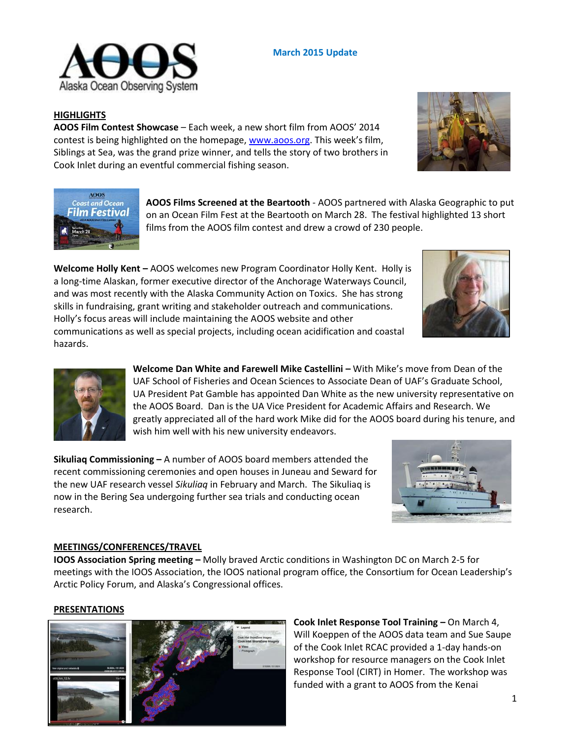

## **March 2015 Update**

### **HIGHLIGHTS**

**AOOS Film Contest Showcase** – Each week, a new short film from AOOS' 2014 contest is being highlighted on the homepage, [www.aoos.org.](http://www.aoos.org/) This week's film, Siblings at Sea, was the grand prize winner, and tells the story of two brothers in Cook Inlet during an eventful commercial fishing season.





**AOOS Films Screened at the Beartooth** - AOOS partnered with Alaska Geographic to put on an Ocean Film Fest at the Beartooth on March 28. The festival highlighted 13 short films from the AOOS film contest and drew a crowd of 230 people.

**Welcome Holly Kent -** AOOS welcomes new Program Coordinator Holly Kent. Holly is a long-time Alaskan, former executive director of the Anchorage Waterways Council, and was most recently with the Alaska Community Action on Toxics. She has strong skills in fundraising, grant writing and stakeholder outreach and communications. Holly's focus areas will include maintaining the AOOS website and other communications as well as special projects, including ocean acidification and coastal hazards.





**Welcome Dan White and Farewell Mike Castellini –** With Mike's move from Dean of the UAF School of Fisheries and Ocean Sciences to Associate Dean of UAF's Graduate School, UA President Pat Gamble has appointed Dan White as the new university representative on the AOOS Board. Dan is the UA Vice President for Academic Affairs and Research. We greatly appreciated all of the hard work Mike did for the AOOS board during his tenure, and wish him well with his new university endeavors.

**Sikuliaq Commissioning –** A number of AOOS board members attended the recent commissioning ceremonies and open houses in Juneau and Seward for the new UAF research vessel *Sikuliaq* in February and March. The Sikuliaq is now in the Bering Sea undergoing further sea trials and conducting ocean research.



#### **MEETINGS/CONFERENCES/TRAVEL**

**IOOS Association Spring meeting –** Molly braved Arctic conditions in Washington DC on March 2-5 for meetings with the IOOS Association, the IOOS national program office, the Consortium for Ocean Leadership's Arctic Policy Forum, and Alaska's Congressional offices.

#### **PRESENTATIONS**



**Cook Inlet Response Tool Training –** On March 4, Will Koeppen of the AOOS data team and Sue Saupe of the Cook Inlet RCAC provided a 1-day hands-on workshop for resource managers on the Cook Inlet Response Tool (CIRT) in Homer. The workshop was funded with a grant to AOOS from the Kenai